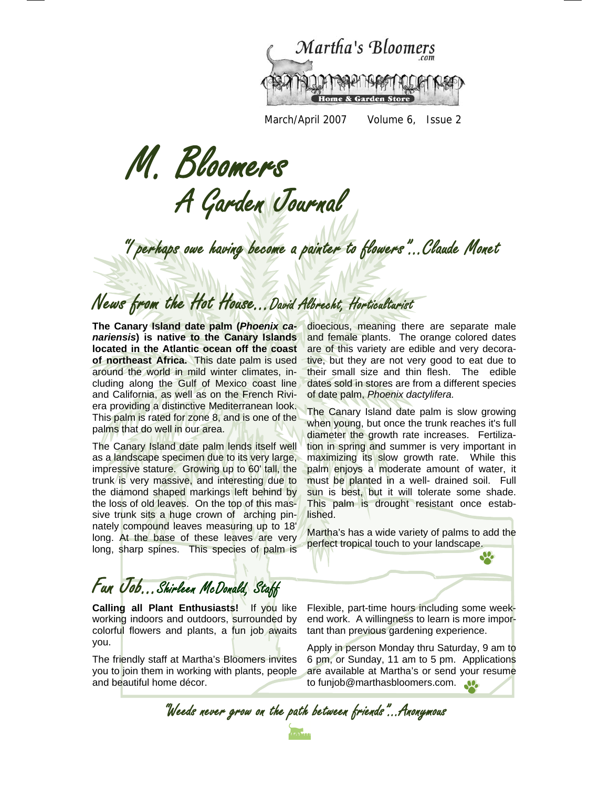

March/April 2007 Volume 6, Issue 2

 M. Bloomers A Garden Journal

"I perhaps owe having become a painter to flowers"...Claude Monet

# News from the Hot House...David Albrecht, Horticulturist

**The Canary Island date palm (***Phoenix canariensis***) is native to the Canary Islands located in the Atlantic ocean off the coast of northeast Africa.** This date palm is used around the world in mild winter climates, including along the Gulf of Mexico coast line and California, as well as on the French Riviera providing a distinctive Mediterranean look. This palm is rated for zone 8, and is one of the palms that do well in our area.

The Canary Island date palm lends itself well as a landscape specimen due to its very large, impressive stature. Growing up to 60' tall, the trunk is very massive, and interesting due to the diamond shaped markings left behind by the loss of old leaves. On the top of this massive trunk sits a huge crown of arching pinnately compound leaves measuring up to 18' long. At the base of these leaves are very long, sharp spines. This species of palm is

dioecious, meaning there are separate male and female plants. The orange colored dates are of this variety are edible and very decorative, but they are not very good to eat due to their small size and thin flesh. The edible dates sold in stores are from a different species of date palm, *Phoenix dactylifera.*

The Canary Island date palm is slow growing when young, but once the trunk reaches it's full diameter the growth rate increases. Fertilization in spring and summer is very important in maximizing its slow growth rate. While this palm enjoys a moderate amount of water, it must be planted in a well- drained soil. Full sun is best, but it will tolerate some shade. This palm is drought resistant once established.

Martha's has a wide variety of palms to add the perfect tropical touch to your landscape.

## Fun Job...Shirleen McDonald, Staff

**Calling all Plant Enthusiasts!** If you like working indoors and outdoors, surrounded by colorful flowers and plants, a fun job awaits you.

The friendly staff at Martha's Bloomers invites you to join them in working with plants, people and beautiful home décor.

Flexible, part-time hours including some weekend work. A willingness to learn is more important than previous gardening experience.

Apply in person Monday thru Saturday, 9 am to 6 pm, or Sunday, 11 am to 5 pm. Applications are available at Martha's or send your resume to funjob@marthasbloomers.com.

"Weeds never grow on the path between friends"...Anonymous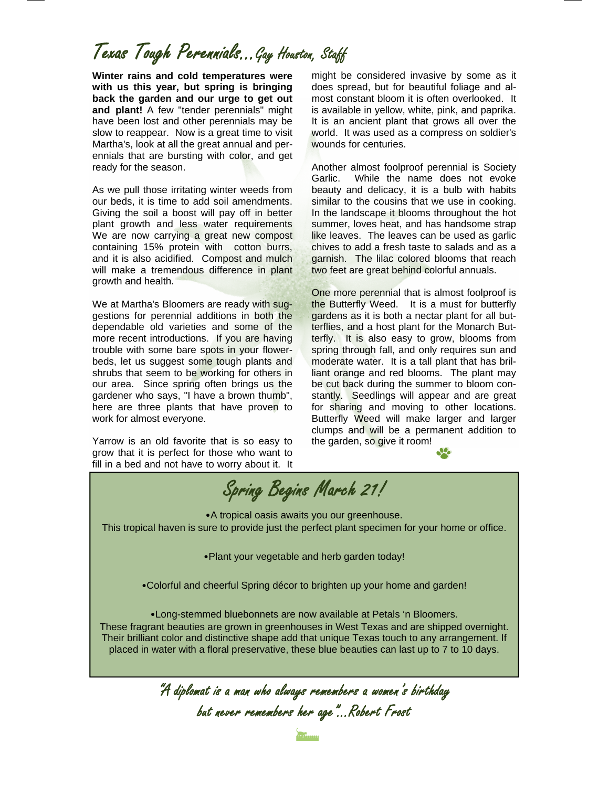## Texas Tough Perennials...Gay Houston, Staff

**Winter rains and cold temperatures were with us this year, but spring is bringing back the garden and our urge to get out and plant!** A few "tender perennials" might have been lost and other perennials may be slow to reappear. Now is a great time to visit Martha's, look at all the great annual and perennials that are bursting with color, and get ready for the season.

As we pull those irritating winter weeds from our beds, it is time to add soil amendments. Giving the soil a boost will pay off in better plant growth and less water requirements We are now carrying a great new compost containing 15% protein with cotton burrs, and it is also acidified. Compost and mulch will make a tremendous difference in plant growth and health.

We at Martha's Bloomers are ready with suggestions for perennial additions in both the dependable old varieties and some of the more recent introductions. If you are having trouble with some bare spots in your flowerbeds, let us suggest some tough plants and shrubs that seem to be working for others in our area. Since spring often brings us the gardener who says, "I have a brown thumb", here are three plants that have proven to work for almost everyone.

Yarrow is an old favorite that is so easy to grow that it is perfect for those who want to fill in a bed and not have to worry about it. It

might be considered invasive by some as it does spread, but for beautiful foliage and almost constant bloom it is often overlooked. It is available in yellow, white, pink, and paprika. It is an ancient plant that grows all over the world. It was used as a compress on soldier's wounds for centuries.

Another almost foolproof perennial is Society Garlic. While the name does not evoke beauty and delicacy, it is a bulb with habits similar to the cousins that we use in cooking. In the landscape it blooms throughout the hot summer, loves heat, and has handsome strap like leaves. The leaves can be used as garlic chives to add a fresh taste to salads and as a garnish. The lilac colored blooms that reach two feet are great behind colorful annuals.

One more perennial that is almost foolproof is the Butterfly Weed. It is a must for butterfly gardens as it is both a nectar plant for all butterflies, and a host plant for the Monarch Butterfly. It is also easy to grow, blooms from spring through fall, and only requires sun and moderate water. It is a tall plant that has brilliant orange and red blooms. The plant may be cut back during the summer to bloom constantly. Seedlings will appear and are great for sharing and moving to other locations. Butterfly Weed will make larger and larger clumps and will be a permanent addition to the garden, so give it room!



but never remembers her age"...Robert Frost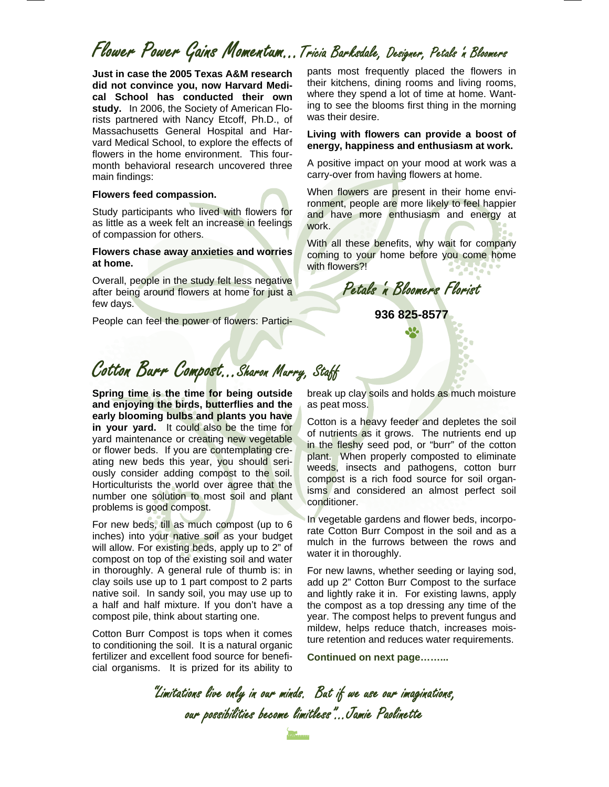## Flower Power Gains Momentum...Tricia Barksdale, Designer, Petals 'n Bloomers

**Just in case the 2005 Texas A&M research did not convince you, now Harvard Medical School has conducted their own study.** In 2006, the Society of American Florists partnered with Nancy Etcoff, Ph.D., of Massachusetts General Hospital and Harvard Medical School, to explore the effects of flowers in the home environment. This fourmonth behavioral research uncovered three main findings:

### **Flowers feed compassion.**

Study participants who lived with flowers for as little as a week felt an increase in feelings of compassion for others.

#### **Flowers chase away anxieties and worries at home.**

Overall, people in the study felt less negative after being around flowers at home for just a few days.

People can feel the power of flowers: Partici-

pants most frequently placed the flowers in their kitchens, dining rooms and living rooms, where they spend a lot of time at home. Wanting to see the blooms first thing in the morning was their desire.

#### **Living with flowers can provide a boost of energy, happiness and enthusiasm at work.**

A positive impact on your mood at work was a carry-over from having flowers at home.

When flowers are present in their home environment, people are more likely to feel happier and have more enthusiasm and energy at work.

With all these benefits, why wait for company coming to your home before you come home with flowers?!

Petals 'n Bloomers Florist

**936 825-8577** 

Cotton Burr Compost...Sharon Murry, Staff

**Spring time is the time for being outside and enjoying the birds, butterflies and the early blooming bulbs and plants you have in your yard.** It could also be the time for yard maintenance or creating new vegetable or flower beds. If you are contemplating creating new beds this year, you should seriously consider adding compost to the soil. Horticulturists the world over agree that the number one solution to most soil and plant problems is good compost.

For new beds, till as much compost (up to 6 inches) into your native soil as your budget will allow. For existing beds, apply up to 2" of compost on top of the existing soil and water in thoroughly. A general rule of thumb is: in clay soils use up to 1 part compost to 2 parts native soil. In sandy soil, you may use up to a half and half mixture. If you don't have a compost pile, think about starting one.

Cotton Burr Compost is tops when it comes to conditioning the soil. It is a natural organic fertilizer and excellent food source for beneficial organisms. It is prized for its ability to

break up clay soils and holds as much moisture as peat moss.

Cotton is a heavy feeder and depletes the soil of nutrients as it grows. The nutrients end up in the fleshy seed pod, or "burr" of the cotton plant. When properly composted to eliminate weeds, insects and pathogens, cotton burr compost is a rich food source for soil organisms and considered an almost perfect soil conditioner.

In vegetable gardens and flower beds, incorporate Cotton Burr Compost in the soil and as a mulch in the furrows between the rows and water it in thoroughly.

For new lawns, whether seeding or laying sod, add up 2" Cotton Burr Compost to the surface and lightly rake it in. For existing lawns, apply the compost as a top dressing any time of the year. The compost helps to prevent fungus and mildew, helps reduce thatch, increases moisture retention and reduces water requirements.

**Continued on next page……...** 

"Limitations live only in our minds. But if we use our imaginations, our possibilities become limitless"...Jamie Paolinette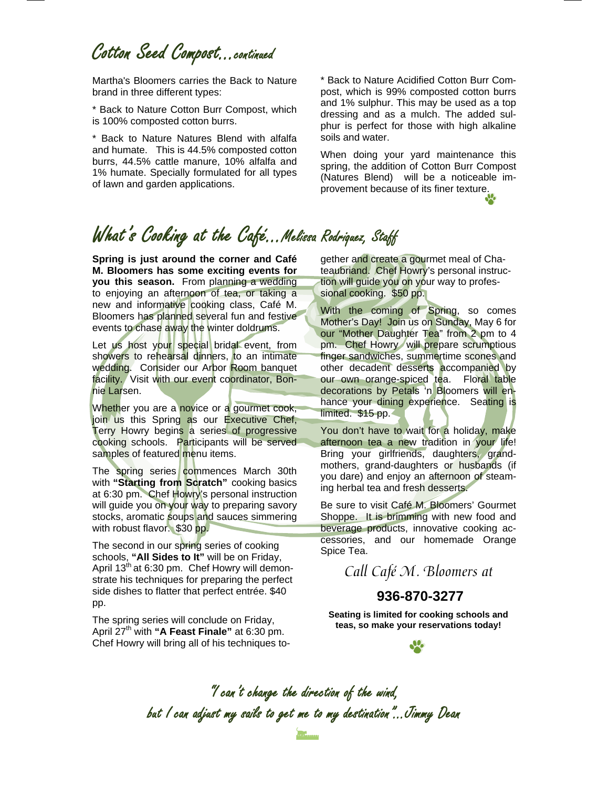## Cotton Seed Compost...continued

Martha's Bloomers carries the Back to Nature brand in three different types:

\* Back to Nature Cotton Burr Compost, which is 100% composted cotton burrs.

\* Back to Nature Natures Blend with alfalfa and humate. This is 44.5% composted cotton burrs, 44.5% cattle manure, 10% alfalfa and 1% humate. Specially formulated for all types of lawn and garden applications.

\* Back to Nature Acidified Cotton Burr Compost, which is 99% composted cotton burrs and 1% sulphur. This may be used as a top dressing and as a mulch. The added sulphur is perfect for those with high alkaline soils and water.

When doing your yard maintenance this spring, the addition of Cotton Burr Compost (Natures Blend) will be a noticeable improvement because of its finer texture.

## What's Cooking at the Café...Melissa Rodriquez, Staff

**Spring is just around the corner and Café M. Bloomers has some exciting events for you this season.** From planning a wedding to enjoying an afternoon of tea, or taking a new and informative cooking class, Café M. Bloomers has planned several fun and festive events to chase away the winter doldrums.

Let us host your special bridal event, from showers to rehearsal dinners, to an intimate wedding. Consider our Arbor Room banquet facility. Visit with our event coordinator, Bonnie Larsen.

Whether you are a novice or a gourmet cook, join us this Spring as our Executive Chef, Terry Howry begins a series of progressive cooking schools. Participants will be served samples of featured menu items.

The spring series commences March 30th with **"Starting from Scratch"** cooking basics at 6:30 pm. Chef Howry's personal instruction will guide you on your way to preparing savory stocks, aromatic soups and sauces simmering with robust flavor. \$30 pp.

The second in our spring series of cooking schools, **"All Sides to It"** will be on Friday, April  $13<sup>th</sup>$  at 6:30 pm. Chef Howry will demonstrate his techniques for preparing the perfect side dishes to flatter that perfect entrée. \$40 pp.

The spring series will conclude on Friday, April 27<sup>th</sup> with "**A Feast Finale**" at 6:30 pm. Chef Howry will bring all of his techniques together and create a gourmet meal of Chateaubriand. Chef Howry's personal instruction will guide you on your way to professional cooking. \$50 pp.

With the coming of Spring, so comes Mother's Day! Join us on Sunday, May 6 for our "Mother Daughter Tea" from 2 pm to 4 pm. Chef Howry will prepare scrumptious finger sandwiches, summertime scones and other decadent desserts accompanied by our own orange-spiced tea. Floral table decorations by Petals 'n Bloomers will enhance your dining experience. Seating is limited. \$15 pp.

You don't have to wait for a holiday, make afternoon tea a new tradition in your life! Bring your girlfriends, daughters, grandmothers, grand-daughters or husbands (if you dare) and enjoy an afternoon of steaming herbal tea and fresh desserts.

Be sure to visit Café M. Bloomers' Gourmet Shoppe. It is brimming with new food and beverage products, innovative cooking accessories, and our homemade Orange Spice Tea.

Call Café M. Bloomers at

### **936-870-3277**

**Seating is limited for cooking schools and teas, so make your reservations today!** 

 but I can adjust my sails to get me to my destination"...Jimmy Dean "I can't change the direction of the wind,